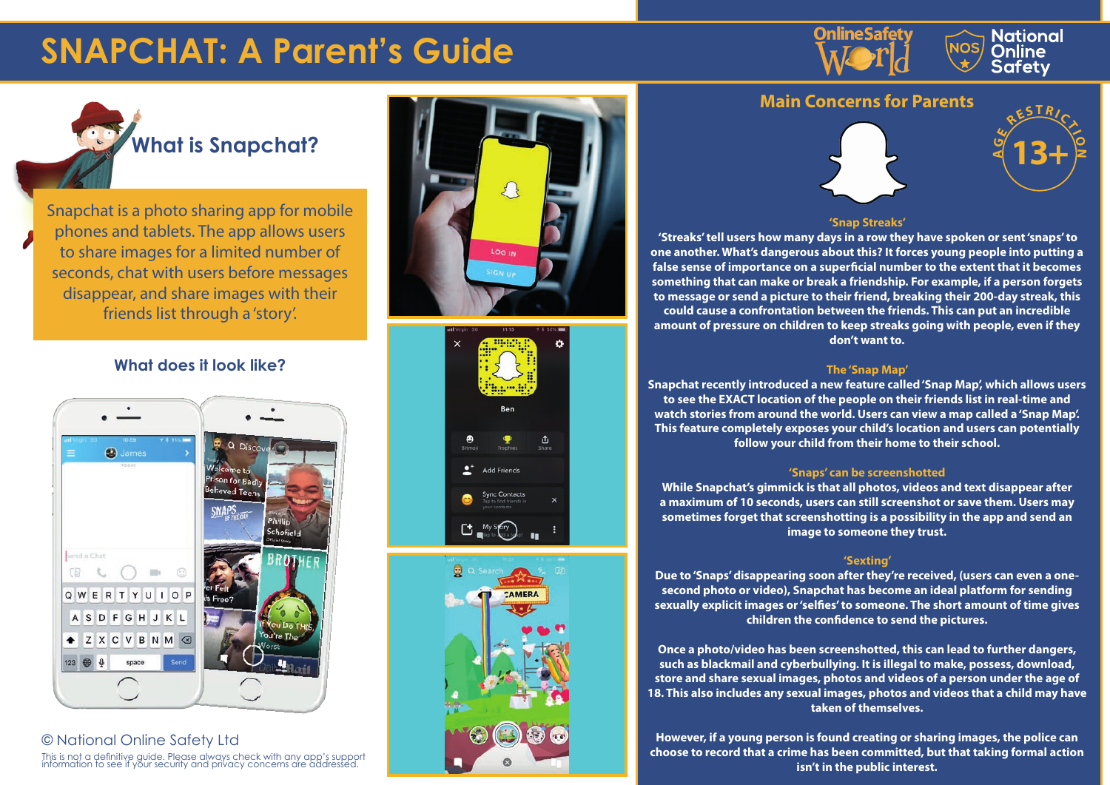# **SNAPCHAT: A Parent's Guide**







Snapchat is a photo sharing app for mobile phones and tablets. The app allows users to share images for a limited number of seconds, chat with users before messages disappear, and share images with their friends list through a 'story'.

# **What does it look like?**



© National Online Safety Ltd This is not a definitive guide. Please always check with any app's support information to see if your security and privacy concerns are addressed.





# **Main Concerns for Parents**





 **'Streaks' tell users how many days in a row they have spoken or sent 'snaps' to one another. What's dangerous about this? It forces young people into putting a false sense of importance on a superficial number to the extent that it becomes something that can make or break a friendship. For example, if a person forgets to message or send a picture to their friend, breaking their 200-day streak, this could cause a confrontation between the friends. This can put an incredible amount of pressure on children to keep streaks going with people, even if they don't want to.**

### **The 'Snap Map'**

**Snapchat recently introduced a new feature called 'Snap Map', which allows users to see the EXACT location of the people on their friends list in real-time and watch stories from around the world. Users can view a map called a 'Snap Map'. This feature completely exposes your child's location and users can potentially follow your child from their home to their school.** 

# **'Snaps' can be screenshotted**

**While Snapchat's gimmick is that all photos, videos and text disappear after a maximum of 10 seconds, users can still screenshot or save them. Users may sometimes forget that screenshotting is a possibility in the app and send an image to someone they trust.** 

# **'Sexting'**

**Due to 'Snaps' disappearing soon after they're received, (users can even a onesecond photo or video), Snapchat has become an ideal platform for sending sexually explicit images or 'selfies' to someone. The short amount of time gives children the confidence to send the pictures.**

**Once a photo/video has been screenshotted, this can lead to further dangers, such as blackmail and cyberbullying. It is illegal to make, possess, download, store and share sexual images, photos and videos of a person under the age of 18. This also includes any sexual images, photos and videos that a child may have taken of themselves.**

**However, if a young person is found creating or sharing images, the police can choose to record that a crime has been committed, but that taking formal action isn't in the public interest.**